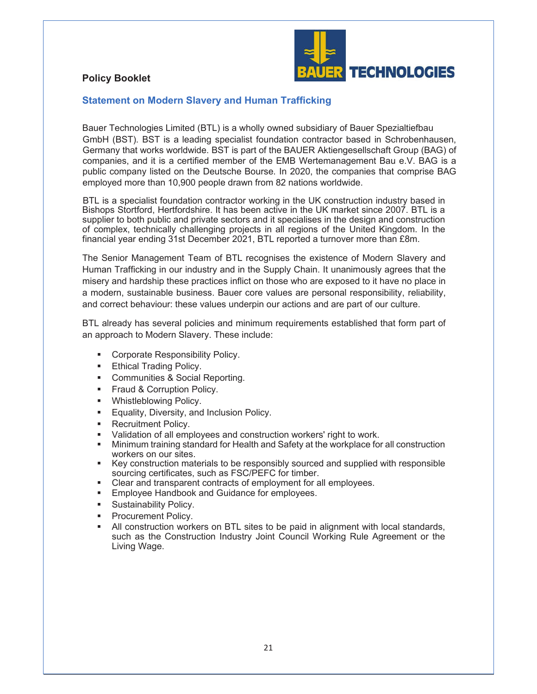## **Policy Booklet**



## **Statement on Modern Slavery and Human Trafficking**

Bauer Technologies Limited (BTL) is a wholly owned subsidiary of Bauer Spezialtiefbau GmbH (BST). BST is a leading specialist foundation contractor based in Schrobenhausen, Germany that works worldwide. BST is part of the BAUER Aktiengesellschaft Group (BAG) of companies, and it is a certified member of the EMB Wertemanagement Bau e.V. BAG is a public company listed on the Deutsche Bourse. In 2020, the companies that comprise BAG employed more than 10,900 people drawn from 82 nations worldwide.

BTL is a specialist foundation contractor working in the UK construction industry based in Bishops Stortford, Hertfordshire. It has been active in the UK market since 2007. BTL is a supplier to both public and private sectors and it specialises in the design and construction of complex, technically challenging projects in all regions of the United Kingdom. In the financial year ending 31st December 2021, BTL reported a turnover more than £8m.

The Senior Management Team of BTL recognises the existence of Modern Slavery and Human Trafficking in our industry and in the Supply Chain. It unanimously agrees that the misery and hardship these practices inflict on those who are exposed to it have no place in a modern, sustainable business. Bauer core values are personal responsibility, reliability, and correct behaviour: these values underpin our actions and are part of our culture.

BTL already has several policies and minimum requirements established that form part of an approach to Modern Slavery. These include:

- Corporate Responsibility Policy.
- **Ethical Trading Policy.**
- Communities & Social Reporting.
- **Fraud & Corruption Policy.**
- **Whistleblowing Policy.**
- ß Equality, Diversity, and Inclusion Policy.
- ß Recruitment Policy.
- ß Validation of all employees and construction workers' right to work.
- ß Minimum training standard for Health and Safety at the workplace for all construction workers on our sites.
- Key construction materials to be responsibly sourced and supplied with responsible sourcing certificates, such as FSC/PEFC for timber.
- Clear and transparent contracts of employment for all employees.
- Employee Handbook and Guidance for employees.
- ß Sustainability Policy.
- ß Procurement Policy.
- ß All construction workers on BTL sites to be paid in alignment with local standards, such as the Construction Industry Joint Council Working Rule Agreement or the Living Wage.